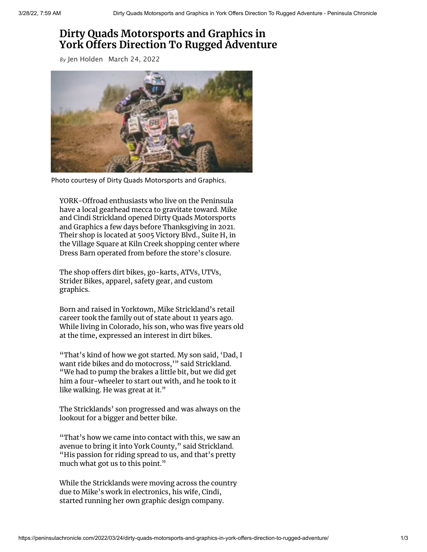## **Dirty Quads Motorsports and Graphics in York Offers Direction To Rugged Adventure**

*By* Jen [Holden](https://peninsulachronicle.com/author/jen/) March 24, 2022



Photo courtesy of Dirty Quads Motorsports and Graphics.

YORK-Offroad enthusiasts who live on the Peninsula have a local gearhead mecca to gravitate toward. Mike and Cindi Strickland opened Dirty Quads Motorsports and Graphics a few days before Thanksgiving in 2021. Their shop is located at 5005 Victory Blvd., Suite H, in the Village Square at Kiln Creek shopping center where Dress Barn operated from before the store's closure.

The shop offers dirt bikes, go-karts, ATVs, UTVs, Strider Bikes, apparel, safety gear, and custom graphics.

Born and raised in Yorktown, Mike Strickland's retail career took the family out of state about 11 years ago. While living in Colorado, his son, who was five years old at the time, expressed an interest in dirt bikes.

"That's kind of how we got started. My son said, 'Dad, I want ride bikes and do motocross,'" said Strickland. "We had to pump the brakes a little bit, but we did get him a four-wheeler to start out with, and he took to it like walking. He was great at it."

The Stricklands' son progressed and was always on the lookout for a bigger and better bike.

"That's how we came into contact with this, we saw an avenue to bring it into York County," said Strickland. "His passion for riding spread to us, and that's pretty much what got us to this point."

While the Stricklands were moving across the country due to Mike's work in electronics, his wife, Cindi, started running her own graphic design company.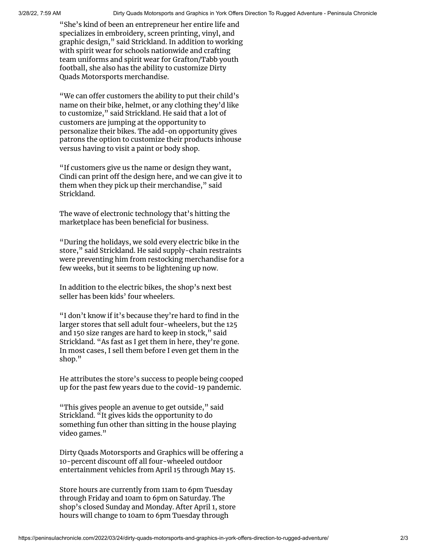"She's kind of been an entrepreneur her entire life and specializes in embroidery, screen printing, vinyl, and graphic design," said Strickland. In addition to working with spirit wear for schools nationwide and crafting team uniforms and spirit wear for Grafton/Tabb youth football, she also has the ability to customize Dirty Quads Motorsports merchandise.

"We can offer customers the ability to put their child's name on their bike, helmet, or any clothing they'd like to customize," said Strickland. He said that a lot of customers are jumping at the opportunity to personalize their bikes. The add-on opportunity gives patrons the option to customize their products inhouse versus having to visit a paint or body shop.

"If customers give us the name or design they want, Cindi can print off the design here, and we can give it to them when they pick up their merchandise," said Strickland.

The wave of electronic technology that's hitting the marketplace has been beneficial for business.

"During the holidays, we sold every electric bike in the store," said Strickland. He said supply-chain restraints were preventing him from restocking merchandise for a few weeks, but it seems to be lightening up now.

In addition to the electric bikes, the shop's next best seller has been kids' four wheelers.

"I don't know if it's because they're hard to find in the larger stores that sell adult four-wheelers, but the 125 and 150 size ranges are hard to keep in stock," said Strickland. "As fast as I get them in here, they're gone. In most cases, I sell them before I even get them in the shop."

He attributes the store's success to people being cooped up for the past few years due to the covid-19 pandemic.

"This gives people an avenue to get outside," said Strickland. "It gives kids the opportunity to do something fun other than sitting in the house playing video games."

Dirty Quads Motorsports and Graphics will be offering a 10-percent discount off all four-wheeled outdoor entertainment vehicles from April 15 through May 15.

Store hours are currently from 11am to 6pm Tuesday through Friday and 10am to 6pm on Saturday. The shop's closed Sunday and Monday. After April 1, store hours will change to 10am to 6pm Tuesday through